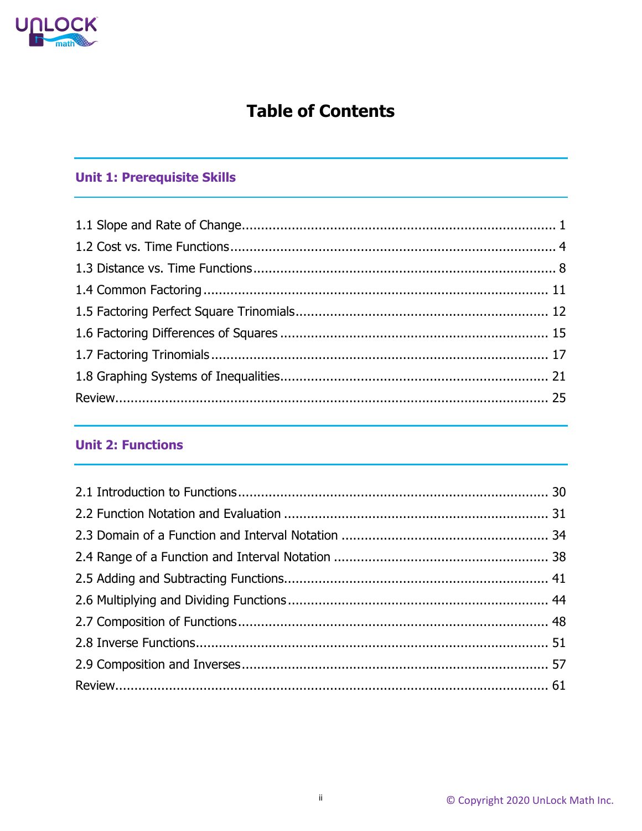

# **Table of Contents**

### **Unit 1: Prerequisite Skills**

#### **Unit 2: Functions**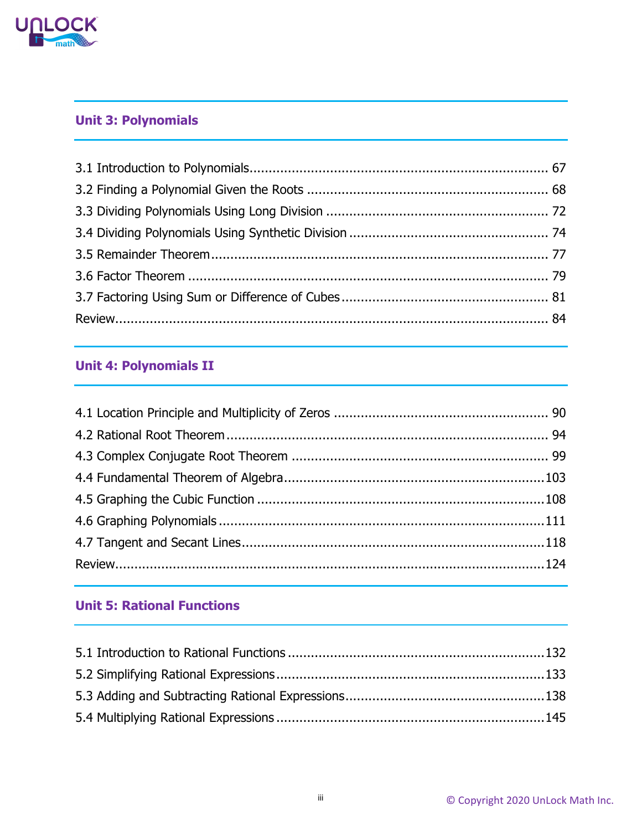

### **Unit 3: Polynomials**

### **Unit 4: Polynomials II**

### **Unit 5: Rational Functions**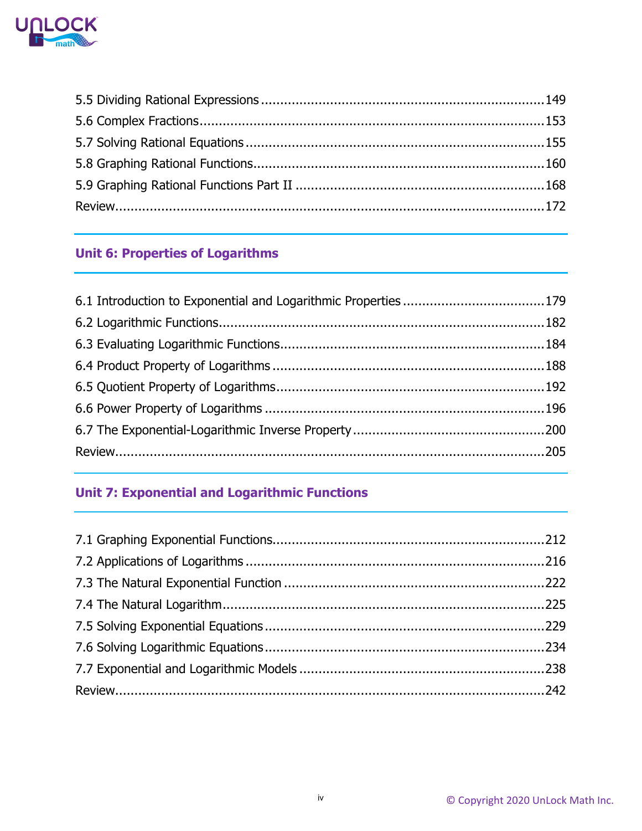

### **Unit 6: Properties of Logarithms**

## **Unit 7: Exponential and Logarithmic Functions**